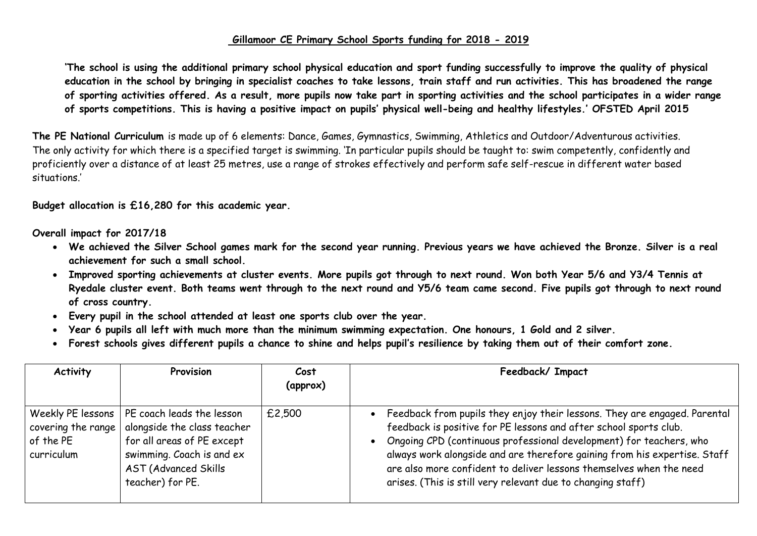## **Gillamoor CE Primary School Sports funding for 2018 - 2019**

**'The school is using the additional primary school physical education and sport funding successfully to improve the quality of physical education in the school by bringing in specialist coaches to take lessons, train staff and run activities. This has broadened the range of sporting activities offered. As a result, more pupils now take part in sporting activities and the school participates in a wider range of sports competitions. This is having a positive impact on pupils' physical well-being and healthy lifestyles.' OFSTED April 2015**

**The PE National Curriculum** is made up of 6 elements: Dance, Games, Gymnastics, Swimming, Athletics and Outdoor/Adventurous activities. The only activity for which there is a specified target is swimming. 'In particular pupils should be taught to: swim competently, confidently and proficiently over a distance of at least 25 metres, use a range of strokes effectively and perform safe self-rescue in different water based situations.'

**Budget allocation is £16,280 for this academic year.**

**Overall impact for 2017/18**

- **We achieved the Silver School games mark for the second year running. Previous years we have achieved the Bronze. Silver is a real achievement for such a small school.**
- **Improved sporting achievements at cluster events. More pupils got through to next round. Won both Year 5/6 and Y3/4 Tennis at Ryedale cluster event. Both teams went through to the next round and Y5/6 team came second. Five pupils got through to next round of cross country.**
- **Every pupil in the school attended at least one sports club over the year.**
- **Year 6 pupils all left with much more than the minimum swimming expectation. One honours, 1 Gold and 2 silver.**
- **Forest schools gives different pupils a chance to shine and helps pupil's resilience by taking them out of their comfort zone.**

| <b>Activity</b>                                                      | Provision                                                                                                                                                              | Cost<br>(approx) | Feedback/ Impact                                                                                                                                                                                                                                                                                                                                                                                                                           |
|----------------------------------------------------------------------|------------------------------------------------------------------------------------------------------------------------------------------------------------------------|------------------|--------------------------------------------------------------------------------------------------------------------------------------------------------------------------------------------------------------------------------------------------------------------------------------------------------------------------------------------------------------------------------------------------------------------------------------------|
| Weekly PE lessons  <br>covering the range<br>of the PE<br>curriculum | PE coach leads the lesson<br>alongside the class teacher<br>for all areas of PE except<br>swimming. Coach is and ex<br><b>AST (Advanced Skills</b><br>teacher) for PE. | £2,500           | • Feedback from pupils they enjoy their lessons. They are engaged. Parental<br>feedback is positive for PE lessons and after school sports club.<br>Ongoing CPD (continuous professional development) for teachers, who<br>always work alongside and are therefore gaining from his expertise. Staff<br>are also more confident to deliver lessons themselves when the need<br>arises. (This is still very relevant due to changing staff) |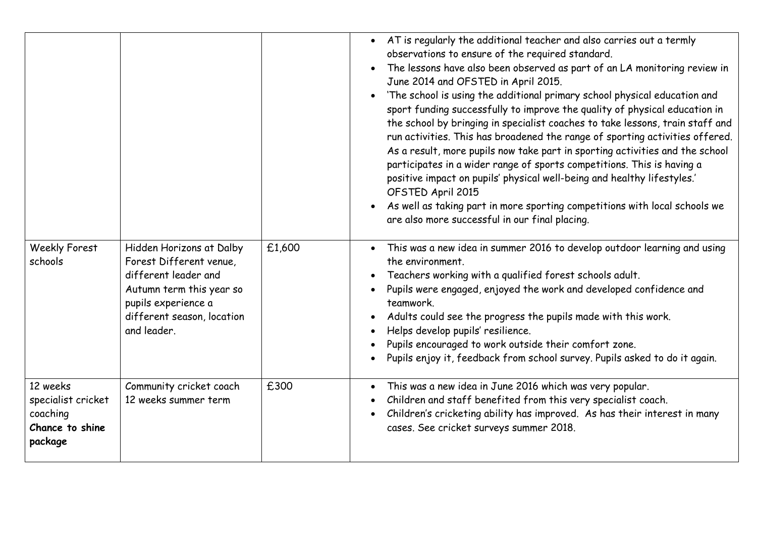|                                                                          |                                                                                                                                                                             |        | AT is regularly the additional teacher and also carries out a termly<br>$\bullet$<br>observations to ensure of the required standard.<br>The lessons have also been observed as part of an LA monitoring review in<br>$\bullet$<br>June 2014 and OFSTED in April 2015.<br>'The school is using the additional primary school physical education and<br>$\bullet$<br>sport funding successfully to improve the quality of physical education in<br>the school by bringing in specialist coaches to take lessons, train staff and<br>run activities. This has broadened the range of sporting activities offered.<br>As a result, more pupils now take part in sporting activities and the school<br>participates in a wider range of sports competitions. This is having a<br>positive impact on pupils' physical well-being and healthy lifestyles.'<br>OFSTED April 2015<br>As well as taking part in more sporting competitions with local schools we<br>are also more successful in our final placing. |
|--------------------------------------------------------------------------|-----------------------------------------------------------------------------------------------------------------------------------------------------------------------------|--------|-----------------------------------------------------------------------------------------------------------------------------------------------------------------------------------------------------------------------------------------------------------------------------------------------------------------------------------------------------------------------------------------------------------------------------------------------------------------------------------------------------------------------------------------------------------------------------------------------------------------------------------------------------------------------------------------------------------------------------------------------------------------------------------------------------------------------------------------------------------------------------------------------------------------------------------------------------------------------------------------------------------|
| <b>Weekly Forest</b><br>schools                                          | Hidden Horizons at Dalby<br>Forest Different venue,<br>different leader and<br>Autumn term this year so<br>pupils experience a<br>different season, location<br>and leader. | £1,600 | This was a new idea in summer 2016 to develop outdoor learning and using<br>$\bullet$<br>the environment.<br>Teachers working with a qualified forest schools adult.<br>$\bullet$<br>Pupils were engaged, enjoyed the work and developed confidence and<br>$\bullet$<br>teamwork.<br>Adults could see the progress the pupils made with this work.<br>$\bullet$<br>Helps develop pupils' resilience.<br>$\bullet$<br>Pupils encouraged to work outside their comfort zone.<br>$\bullet$<br>Pupils enjoy it, feedback from school survey. Pupils asked to do it again.                                                                                                                                                                                                                                                                                                                                                                                                                                     |
| 12 weeks<br>specialist cricket<br>coaching<br>Chance to shine<br>package | Community cricket coach<br>12 weeks summer term                                                                                                                             | £300   | This was a new idea in June 2016 which was very popular.<br>$\bullet$<br>Children and staff benefited from this very specialist coach.<br>$\bullet$<br>Children's cricketing ability has improved. As has their interest in many<br>$\bullet$<br>cases. See cricket surveys summer 2018.                                                                                                                                                                                                                                                                                                                                                                                                                                                                                                                                                                                                                                                                                                                  |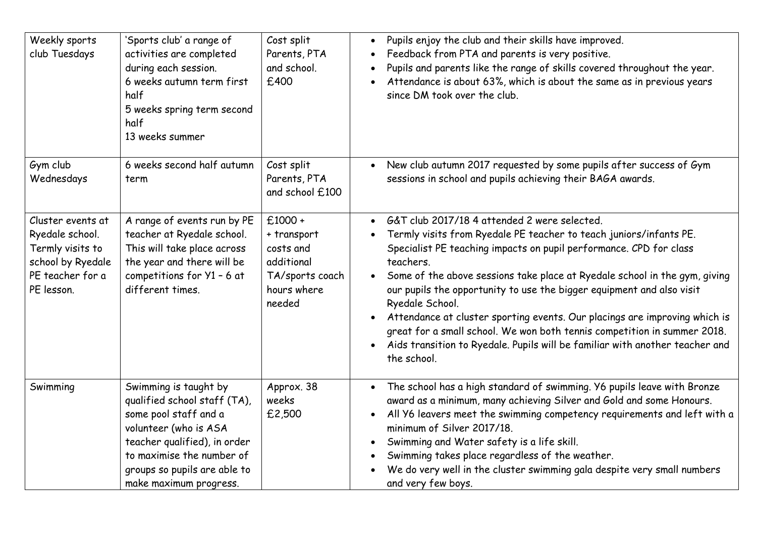| Weekly sports<br>club Tuesdays                                                                                  | 'Sports club' a range of<br>activities are completed<br>during each session.<br>6 weeks autumn term first<br>half<br>5 weeks spring term second<br>half<br>13 weeks summer                                                     | Cost split<br>Parents, PTA<br>and school.<br>£400                                               | Pupils enjoy the club and their skills have improved.<br>$\bullet$<br>Feedback from PTA and parents is very positive.<br>$\bullet$<br>Pupils and parents like the range of skills covered throughout the year.<br>$\bullet$<br>Attendance is about 63%, which is about the same as in previous years<br>$\bullet$<br>since DM took over the club.                                                                                                                                                                                                                                                                                                                                            |
|-----------------------------------------------------------------------------------------------------------------|--------------------------------------------------------------------------------------------------------------------------------------------------------------------------------------------------------------------------------|-------------------------------------------------------------------------------------------------|----------------------------------------------------------------------------------------------------------------------------------------------------------------------------------------------------------------------------------------------------------------------------------------------------------------------------------------------------------------------------------------------------------------------------------------------------------------------------------------------------------------------------------------------------------------------------------------------------------------------------------------------------------------------------------------------|
| Gym club<br>Wednesdays                                                                                          | 6 weeks second half autumn<br>term                                                                                                                                                                                             | Cost split<br>Parents, PTA<br>and school £100                                                   | New club autumn 2017 requested by some pupils after success of Gym<br>$\bullet$<br>sessions in school and pupils achieving their BAGA awards.                                                                                                                                                                                                                                                                                                                                                                                                                                                                                                                                                |
| Cluster events at<br>Ryedale school.<br>Termly visits to<br>school by Ryedale<br>PE teacher for a<br>PE lesson. | A range of events run by PE<br>teacher at Ryedale school.<br>This will take place across<br>the year and there will be<br>competitions for Y1 - 6 at<br>different times.                                                       | $£1000 +$<br>+ transport<br>costs and<br>additional<br>TA/sports coach<br>hours where<br>needed | G&T club 2017/18 4 attended 2 were selected.<br>$\bullet$<br>Termly visits from Ryedale PE teacher to teach juniors/infants PE.<br>$\bullet$<br>Specialist PE teaching impacts on pupil performance. CPD for class<br>teachers.<br>Some of the above sessions take place at Ryedale school in the gym, giving<br>our pupils the opportunity to use the bigger equipment and also visit<br>Ryedale School.<br>Attendance at cluster sporting events. Our placings are improving which is<br>$\bullet$<br>great for a small school. We won both tennis competition in summer 2018.<br>Aids transition to Ryedale. Pupils will be familiar with another teacher and<br>$\bullet$<br>the school. |
| Swimming                                                                                                        | Swimming is taught by<br>qualified school staff (TA),<br>some pool staff and a<br>volunteer (who is ASA<br>teacher qualified), in order<br>to maximise the number of<br>groups so pupils are able to<br>make maximum progress. | Approx. 38<br>weeks<br>£2,500                                                                   | The school has a high standard of swimming. Y6 pupils leave with Bronze<br>$\bullet$<br>award as a minimum, many achieving Silver and Gold and some Honours.<br>All Y6 leavers meet the swimming competency requirements and left with a<br>$\bullet$<br>minimum of Silver 2017/18.<br>Swimming and Water safety is a life skill.<br>$\bullet$<br>Swimming takes place regardless of the weather.<br>$\bullet$<br>We do very well in the cluster swimming gala despite very small numbers<br>$\bullet$<br>and very few boys.                                                                                                                                                                 |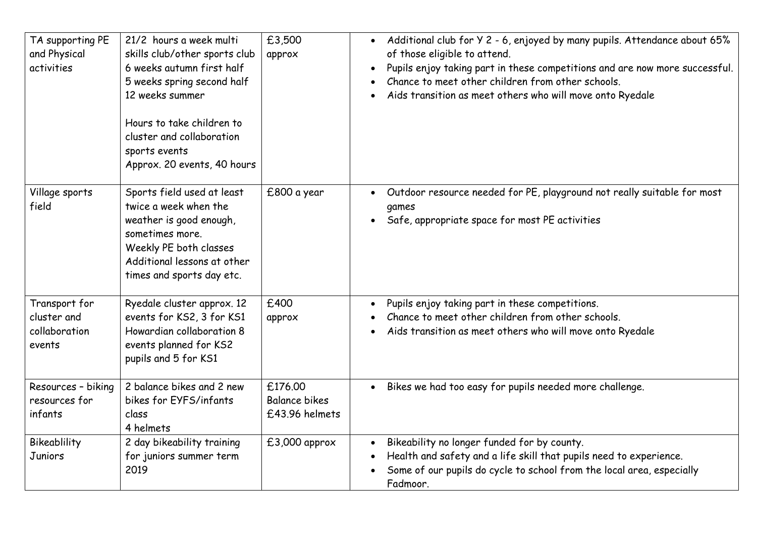| TA supporting PE<br>and Physical<br>activities          | 21/2 hours a week multi<br>skills club/other sports club<br>6 weeks autumn first half<br>5 weeks spring second half<br>12 weeks summer<br>Hours to take children to<br>cluster and collaboration<br>sports events<br>Approx. 20 events, 40 hours | £3,500<br>approx                                  | Additional club for Y 2 - 6, enjoyed by many pupils. Attendance about 65%<br>$\bullet$<br>of those eligible to attend.<br>Pupils enjoy taking part in these competitions and are now more successful.<br>Chance to meet other children from other schools.<br>Aids transition as meet others who will move onto Ryedale |
|---------------------------------------------------------|--------------------------------------------------------------------------------------------------------------------------------------------------------------------------------------------------------------------------------------------------|---------------------------------------------------|-------------------------------------------------------------------------------------------------------------------------------------------------------------------------------------------------------------------------------------------------------------------------------------------------------------------------|
| Village sports<br>field                                 | Sports field used at least<br>twice a week when the<br>weather is good enough,<br>sometimes more.<br>Weekly PE both classes<br>Additional lessons at other<br>times and sports day etc.                                                          | £800 a year                                       | Outdoor resource needed for PE, playground not really suitable for most<br>$\bullet$<br>games<br>Safe, appropriate space for most PE activities                                                                                                                                                                         |
| Transport for<br>cluster and<br>collaboration<br>events | Ryedale cluster approx. 12<br>events for KS2, 3 for KS1<br>Howardian collaboration 8<br>events planned for KS2<br>pupils and 5 for KS1                                                                                                           | £400<br>approx                                    | Pupils enjoy taking part in these competitions.<br>$\bullet$<br>Chance to meet other children from other schools.<br>Aids transition as meet others who will move onto Ryedale                                                                                                                                          |
| Resources - biking<br>resources for<br>infants          | 2 balance bikes and 2 new<br>bikes for EYFS/infants<br>class<br>4 helmets                                                                                                                                                                        | £176.00<br><b>Balance bikes</b><br>£43.96 helmets | Bikes we had too easy for pupils needed more challenge.                                                                                                                                                                                                                                                                 |
| Bikeablility<br>Juniors                                 | 2 day bikeability training<br>for juniors summer term<br>2019                                                                                                                                                                                    | £3,000 approx                                     | Bikeability no longer funded for by county.<br>$\bullet$<br>Health and safety and a life skill that pupils need to experience.<br>Some of our pupils do cycle to school from the local area, especially<br>Fadmoor.                                                                                                     |